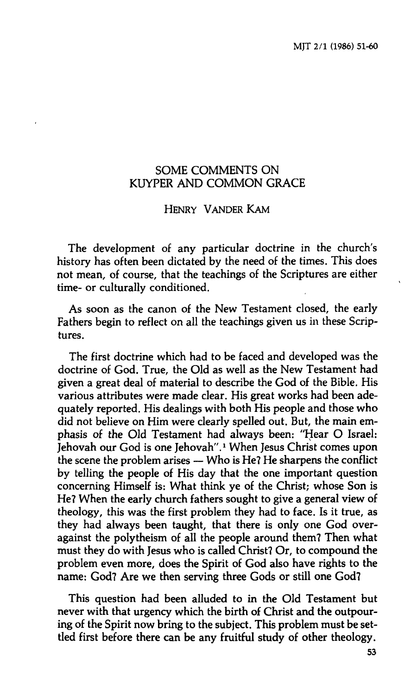# **SOME COMMENTS ON KUYPER AND COMMON GRACE**

# **HENRY VANDER KAM**

**The development of any particular doctrine in the church's history has often been dictated by the need of the times. This does not mean, of course, that the teachings of the Scriptures are either time- or culturally conditioned.** 

**As soon as the canon of the New Testament closed, the early Fathers begin to reflect on all the teachings given us in these Scriptures.** 

**The first doctrine which had to be faced and developed was the doctrine of God. True, the Old as well as the New Testament had given a great deal of material to describe the God of the Bible. His various attributes were made clear. His great works had been adequately reported. His dealings with both His people and those who did not believe on Him were clearly spelled out. But, the main emphasis of the Old Testament had always been: "Hear O Israel: Jehovah our God is one Jehovah".<sup>1</sup> When Jesus Christ comes upon the scene the problem arises — Who is He? He sharpens the conflict by telling the people of His day that the one important question concerning Himself is: What think ye of the Christ; whose Son is He? When the early church fathers sought to give a general view of theology, this was the first problem they had to face. Is it true, as they had always been taught, that there is only one God overagainst the polytheism of all the people around them? Then what must they do with Jesus who is called Christ? Or, to compound the problem even more, does the Spirit of God also have rights to the name: God? Are we then serving three Gods or still one God?** 

**This question had been alluded to in the Old Testament but never with that urgency which the birth of Christ and the outpouring of the Spirit now bring to the subject. This problem must be settled first before there can be any fruitful study of other theology.**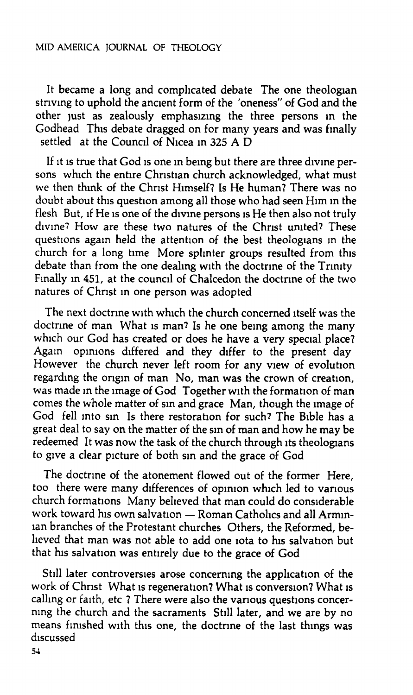**It became a long and complicated debate The one theologian**  striving to uphold the ancient form of the 'oneness" of God and the **other just as zealously emphasizing the three persons in the Godhead This debate dragged on for many years and was finally settled at the Council of Nicea in 325 A D** 

**If it is true that God is one in being but there are three divine persons which the entire Christian church acknowledged, what must we then think of the Christ Himself? Is He human? There was no doubt about this question among all those who had seen Him in the flesh But, if He is one of the divine persons is He then also not truly divine? How are these two natures of the Christ united? These questions again held the attention of the best theologians in the church for a long time More splinter groups resulted from this debate than from the one dealing with the doctrine of the Trinity Finally in 451, at the council of Chalcedon the doctrine of the two natures of Christ in one person was adopted** 

**The next doctrine with which the church concerned itself was the doctrine of man What is man? Is he one being among the many which our God has created or does he have a very special place? Again opinions differed and they differ to the present day However the church never left room for any view of evolution regarding the origin of man No, man was the crown of creation, was made in the image of God Together with the formation of man comes the whole matter of sin and grace Man, though the image of God fell into sin Is there restoration for such? The Bible has a great deal to say on the matter of the sin of man and how he may be redeemed It was now the task of the church through its theologians to give a clear picture of both sin and the grace of God** 

**The doctrine of the atonement flowed out of the former Here, too there were many differences of opinion which led to various church formations Many believed that man could do considerable work toward his own salvation — Roman Catholics and all Arminían branches of the Protestant churches Others, the Reformed, believed that man was not able to add one iota to his salvation but that his salvation was entirely due to the grace of God** 

**Still later controversies arose concerning the application of the work of Christ What is regeneration? What is conversion? What is calling or faith, etc ? There were also the various questions concerning the church and the sacraments Still later, and we are by no means finished with this one, the doctrine of the last things was discussed**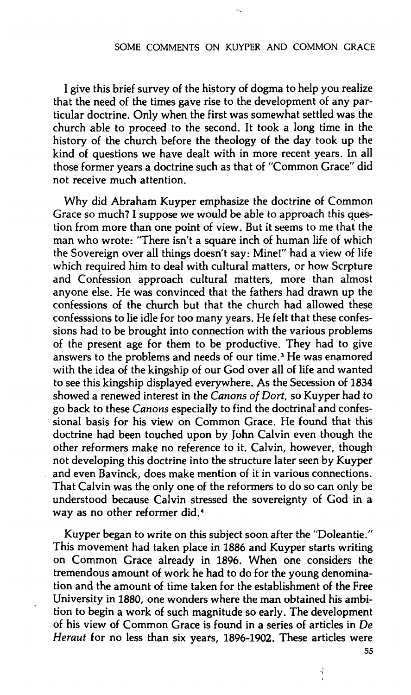## **SOME COMMENTS ON KUYPER AND COMMON GRACE**

**I give this brief survey of the history of dogma to help you realize that the need of the times gave rise to the development of any particular doctrine. Only when the first was somewhat settled was the church able to proceed to the second. It took a long time in the history of the church before the theology of the day took up the kind of questions we have dealt with in more recent years. In all those former years a doctrine such as that of "Common Grace" did not receive much attention.** 

**Why did Abraham Kuyper emphasize the doctrine of Common Grace so much? I suppose we would be able to approach this question from more than one point of view. But it seems to me that the man who wrote: 'There isn't a square inch of human life of which the Sovereign over all things doesn't say: Mine!" had a view of life which required him to deal with cultural matters, or how Scrpture and Confession approach cultural matters, more than almost anyone else. He was convinced that the fathers had drawn up the confessions of the church but that the church had allowed these confesssions to lie idle for too many years. He felt that these confessions had to be brought into connection with the various problems of the present age for them to be productive. They had to give answers to the problems and needs of our time.<sup>3</sup> He was enamored with the idea of the kingship of our God over all of life and wanted to see this kingship displayed everywhere. As the Secession of 1834 showed a renewed interest in the** *Canons of Dort,* **so Kuyper had to go back to these** *Canons* **especially to find the doctrinal and confessional basis for his view on Common Grace. He found that this doctrine had been touched upon by John Calvin even though the other reformers make no reference to it. Calvin, however, though not developing this doctrine into the structure later seen by Kuyper and even Bavinck, does make mention of it in various connections. That Calvin was the only one of the reformers to do so can only be understood because Calvin stressed the sovereignty of God in a way as no other reformer did.<sup>4</sup>**

**Kuyper began to write on this subject soon after the "Doleantie." This movement had taken place in 1886 and Kuyper starts writing on Common Grace already in 1896. When one considers the tremendous amount of work he had to do for the young denomination and the amount of time taken for the establishment of the Free University in 1880, one wonders where the man obtained his ambition to begin a work of such magnitude so early. The development of his view of Common Grace is found in a series of articles in** *De Héraut* **for no less than six years, 1896-1902. These articles were** 

*55*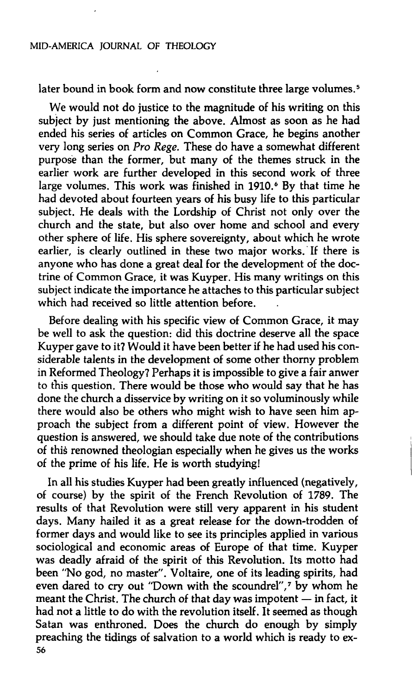**later bound in book form and now constitute three large volumes.<sup>5</sup>**

**We would not do justice to the magnitude of his writing on this subject by just mentioning the above. Almost as soon as he had ended his series of articles on Common Grace, he begins another very long series on** *Pro Rege.* **These do have a somewhat different purpose than the former, but many of the themes struck in the earlier work are further developed in this second work of three large volumes. This work was finished in 1910.<sup>6</sup> By that time he had devoted about fourteen years of his busy life to this particular subject. He deals with the Lordship of Christ not only over the church and the state, but also over home and school and every other sphere of life. His sphere sovereignty, about which he wrote earlier, is clearly outlined in these two major works. If there is anyone who has done a great deal for the development of the doctrine of Common Grace, it was Kuyper. His many writings on this subject indicate the importance he attaches to this particular subject which had received so little attention before.** 

**Before dealing with his specific view of Common Grace, it may be well to ask the question: did this doctrine deserve all the space Kuyper gave to it? Would it have been better if he had used his considerable talents in the development of some other thorny problem in Reformed Theology? Perhaps it is impossible to give a fair anwer to this question. There would be those who would say that he has done the church a disservice by writing on it so voluminously while there would also be others who might wish to have seen him approach the subject from a different point of view. However the question is answered, we should take due note of the, contributions of this renowned theologian especially when he gives us the works of the prime of his life. He is worth studying!** 

**In all his studies Kuyper had been greatly influenced (negatively, of course) by the spirit of the French Revolution of 1789. The results of that Revolution were still very apparent in his student days. Many hailed it as a great release for the down-trodden of former days and would like to see its principles applied in various sociological and economic areas of Europe of that time. Kuyper was deadly afraid of the spirit of this Revolution. Its motto had been "No god, no master". Voltaire, one of its leading spirits, had even dared to cry out "Down with the scoundrel",<sup>7</sup> by whom he meant the Christ. The church of that day was impotent — in fact, it had not a little to do with the revolution itself. It seemed as though Satan was enthroned. Does the church do enough by simply preaching the tidings of salvation to a world which is ready to ex-56**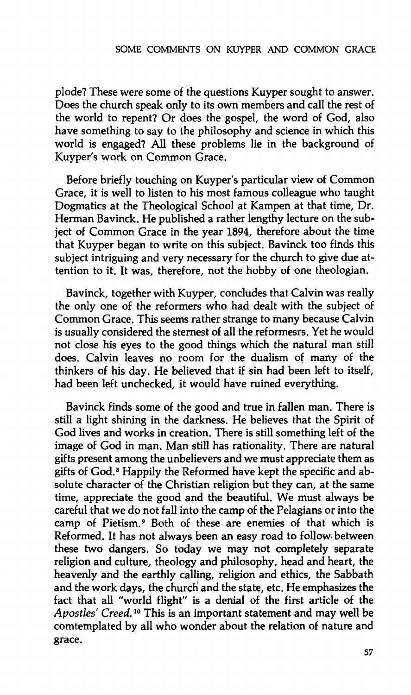**plode? These were some of the questions Kuyper sought to answer. Does the church speak only to its own members and call the rest of the world to repent? Or does the gospel, the word of God, also have something to say to the philosophy and science in which this world is engaged? All these problems lie in the background of Kuyper's work on Common Grace.** 

**Before briefly touching on Kuyper's particular view of Common Grace, it is well to listen to his most famous colleague who taught Dogmatics at the Theological School at Kampen at that time. Dr. Herman Bavinck. He published a rather lengthy lecture on the subject of Common Grace in the year 1894, therefore about the time that Kuyper began to write on this subject. Bavinck too finds this subject intriguing and very necessary for the church to give due attention to it. It was, therefore, not the hobby of one theologian.** 

**Bavinck, together with Kuyper, concludes that Calvin was really the only one of the reformers who had dealt with the subject of Common Grace. This seems rather strange to many because Calvin**  is usually considered the sternest of all the reformesrs. Yet he would **not close his eyes to the good things which the natural man still does. Calvin leaves no room for the dualism of many of the thinkers of his day. He believed that if sin had been left to itself, had been left unchecked, it would have ruined everything.** 

**Bavinck finds some of the good and true in fallen man. There is still a light shining in the darkness. He believes that the Spirit of God lives and works in creation. There is still something left of the image of God in man. Man still has rationality. There are natural gifts present among the unbelievers and we must appreciate them as gifts of God.<sup>8</sup> Happily the Reformed have kept the specific and absolute character of the Christian religion but they can, at the same time, appreciate the good and the beautiful. We must always be careful that we do not fall into the camp of the Pelagians or into the camp of Pietism.<sup>9</sup> Both of these are enemies of that which is Reformed. It has not always been an easy road to follow between these two dangers. So today we may not completely separate religion and culture, theology and philosophy, head and heart, the heavenly and the earthly calling, religion and ethics, the Sabbath and the work days, the church and the state, etc. He emphasizes the fact that all "world flight" is a denial of the first article of the**  *Apostles' Creed.<sup>10</sup>* **This is an important statement and may well be comtemplated by all who wonder about the relation of nature and grace.**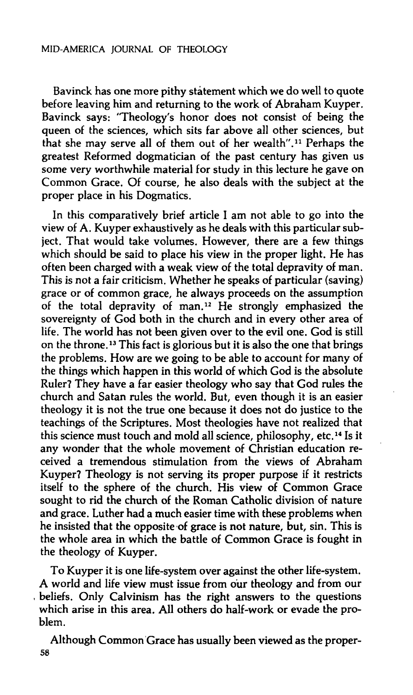**Bavinck has one more pithy statement which we do well to quote before leaving him and returning to the work of Abraham Kuyper. Bavinck says: "Theology's honor does not consist of being the queen of the sciences, which sits far above all other sciences, but that she may serve all of them out of her wealth".<sup>11</sup> Perhaps the greatest Reformed dogmatician of the past century has given us some very worthwhile material for study in this lecture he gave on Common Grace. Of course, he also deals with the subject at the proper place in his Dogmatics.** 

**In this comparatively brief article I am not able to go into the view of A. Kuyper exhaustively as he deals with this particular subject. That would take volumes. However, there are a few things which should be said to place his view in the proper light. He has often been charged with a weak view of the total depravity of man. This is not a fair criticism. Whether he speaks of particular (saving) grace or of common grace, he always proceeds on the assumption**  of the total depravity of man.<sup>12</sup> He strongly emphasized the **sovereignty of God both in the church and in every other area of life. The world has not been given over to the evil one. God is still on the throne.<sup>13</sup> This fact is glorious but it is also the one that brings the problems. How are we going to be able to account for many of the things which happen in this world of which God is the absolute Ruler? They have a far easier theology who say that God rules the church and Satan rules the world. But, even though it is an easier theology it is not the true one because it does not do justice to the teachings of the Scriptures. Most theologies have not realized that this science must touch and mold all science, philosophy, etc.<sup>14</sup> Is it any wonder that the whole movement of Christian education received a tremendous stimulation from the views of Abraham Kuyper? Theology is not serving its proper purpose if it restricts itself to the sphere of the church. His view of Common Grace sought to rid the church of the Roman Catholic division of nature and grace. Luther had a much easier time with these problems when he insisted that the opposite of grace is not nature, but, sin. This is the whole area in which the battle of Common Grace is fought in the theology of Kuyper.** 

**To Kuyper it is one life-system over against the other life-system. A world and life view must issue from our theology and from our . beliefs. Only Calvinism has the right answers to the questions which arise in this area. All others do half-work or evade the problem.** 

**Although Common Grace has usually been viewed as the proper-58**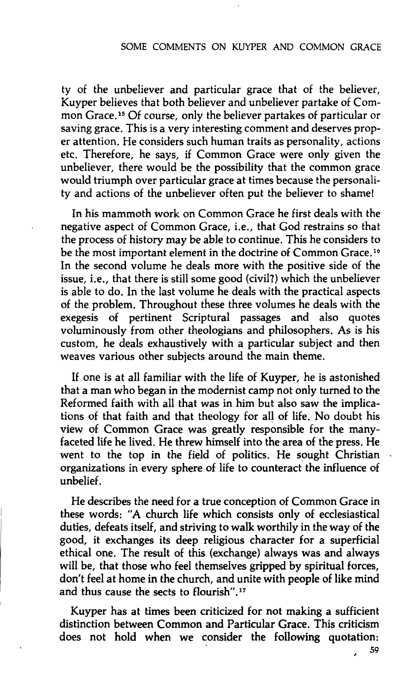#### **SOME COMMENTS ON KUYPER AND COMMON GRACE**

**ty of the unbeliever and particular grace that of the believer, Kuyper believes that both believer and unbeliever partake of Common Grace.<sup>15</sup> Of course, only the believer partakes of particular or saving grace. This is a very interesting comment and deserves proper attention. He considers such human traits as personality, actions etc. Therefore, he says, if Common Grace were only given the unbeliever, there would be the possibility that the common grace would triumph over particular grace at times because the personality and actions of the unbeliever often put the believer to shame!** 

**In his mammoth work on Common Grace he first deals with the negative aspect of Common Grace, i.e., that God restrains so that the process of history may be able to continue. This he considers to be the most important element in the doctrine of Common Grace.<sup>16</sup> In the second volume he deals more with the positive side of the issue, i.e., that there is still some good (civil?) which the unbeliever is able to do. In the last volume he deals with the practical aspects of the problem. Throughout these three volumes he deals with the exegesis of pertinent Scriptural passages and also quotes voluminously from other theologians and philosophers. As is his custom, he deals exhaustively with a particular subject and then weaves various other subjects around the main theme.** 

**If one is at all familiar with the life of Kuyper, he is astonished that a man who began in the modernist camp not only turned to the Reformed faith with all that was in him but also saw the implications of that faith and that theology for all of life. No doubt his view of Common Grace was greatly responsible for the manyfaceted life he lived. He threw himself into the area of the press. He went to the top in the field of politics. He sought Christian organizations in every sphere of life to counteract the influence of unbelief.** 

**He describes the need for a true conception of Common Grace in these words: "A church life which consists only of ecclesiastical duties, defeats itself, and striving to walk worthily in the way of the good, it exchanges its deep religious character for a superficial ethical one. The result of this (exchange) always was and always will be, that those who feel themselves gripped by spiritual forces, don't feel at home in the church, and unite with people of like mind and thus cause the sects to flourish".<sup>17</sup>**

**Kuyper has at times been criticized for not making a sufficient distinction between Common and Particular Grace. This criticism does not hold when we consider the following quotation:** 

**59**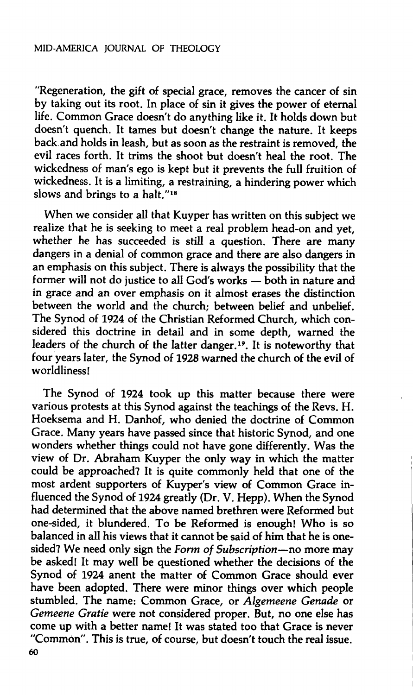# **MID-AMERICA JOURNAL OF THEOLOGY**

**"Regeneration, the gift of special grace, removes the cancer of sin by taking out its root. In place of sin it gives the power of eternal life. Common Grace doesn't do anything like it. It holds down but doesn't quench. It tames but doesn't change the nature. It keeps back.and holds in leash, but as soon as the restraint is removed, the evil races forth. It trims the shoot but doesn't heal the root. The wickedness of man's ego is kept but it prevents the full fruition of wickedness. It is a limiting, a restraining, a hindering power which slows and brings to a halt."<sup>18</sup>**

**When we consider all that Kuyper has written on this subject we realize that he is seeking to meet a real problem head-on and yet, whether he has succeeded is still a question. There are many dangers in a denial of common grace and there are also dangers in an emphasis on this subject. There is always the possibility that the former will not do justice to all God's works — both in nature and in grace and an over emphasis on it almost erases the distinction between the world and the church; between belief and unbelief. The Synod of 1924 of the Christian Reformed Church, which considered this doctrine in detail and in some depth, warned the leaders of the church of the latter danger.<sup>19</sup> . It is noteworthy that four years later, the Synod of 1928 warned the church of the evil of worldliness!** 

**The Synod of 1924 took up this matter because there were various protests at this Synod against the teachings of the Revs. H. Hoeksema and H. Danhof, who denied the doctrine of Common Grace. Many years have passed since that historic Synod, and one wonders whether things could not have gone differently. Was the view of Dr. Abraham Kuyper the only way in which the matter could be approached? It is quite commonly held that one of the most ardent supporters of Kuyper's view of Common Grace influenced the Synod of 1924 greatly (Dr. V. Hepp). When the Synod had determined that the above named brethren were Reformed but one-sided, it blundered. To be Reformed is enough! Who is so balanced in all his views that it cannot be said of him that he is onesided? We need only sign the** *Form of Subscription***—no more may be asked! It may well be questioned whether the decisions of the Synod of 1924 anent the matter of Common Grace should ever have been adopted. There were minor things over which people stumbled. The name: Common Grace, or** *Algemeene Genade* **or**  *Gemeene Gratie* **were not considered proper. But, no one else has come up with a better name! It was stated too that Grace is never "Common". This is true, of course, but doesn't touch the real issue. 60**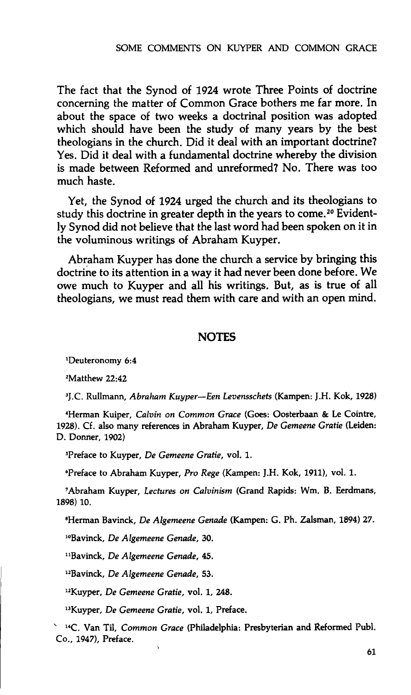The fact that the Synod of 1924 wrote Three Points of doctrine concerning the matter of Common Grace bothers me far more. In about the space of two weeks a doctrinal position was adopted which should have been the study of many years by the best theologians in the church. Did it deal with an important doctrine? Yes. Did it deal with a fundamental doctrine whereby the division is made between Reformed and unreformed? No. There was too much haste.

Yet, the Synod of 1924 urged the church and its theologians to study this doctrine in greater depth in the years to come.<sup>20</sup> Evidently Synod did not believe that the last word had been spoken on it in the voluminous writings of Abraham Kuyper.

Abraham Kuyper has done the church a service by bringing this doctrine to its attention in a way it had never been done before. We owe much to Kuyper and all his writings. But, as is true of all theologians, we must read them with care and with an open mind.

# **NOTES**

**Deuteronomy 6:4** 

**<sup>2</sup>Matthew 22:42** 

**3 J.C. Rullmann,** *Abraham Kuyper—Een Levensschets* **(Kampen: J.H. Kok, 1928)** 

**<sup>4</sup>Herman Kuiper,** *Calvin on Common Grace* **(Goes: Oosterbaan & Le Cointre, 1928). Cf. also many references in Abraham Kuyper,** *De Gemeene Gratie* **(Leiden: D. Donner, 1902)** 

**<sup>5</sup>Preface to Kuyper,** *De Gemeene Gratie,* **vol. 1.** 

**<sup>6</sup>Preface to Abraham Kuyper,** *Pro Rege* **(Kampen: J.H. Kok, 1911), vol. 1.** 

**<sup>7</sup>Abraham Kuyper,** *Lectures on Calvinism* **(Grand Rapids: Wm. B. Eerdmans, 1898) 10.** 

**<sup>8</sup>Herman Bavinck,** *De Algemeene Genade* **(Kampen: G. Ph. Zalsman, 1894) 27.** 

**<sup>10</sup>Bavinck,** *De Algemeene Genade,* **30.** 

**<sup>n</sup>Bavinck,** *De Algemeene Genade,* **45.** 

**<sup>12</sup>Bavinck,** *De Algemeene Genade,* **53.** 

**<sup>12</sup>Kuyper,** *De Gemeene Gratie,* **vol.** *1,* **248.** 

**"Kuyper,** *De Gemeene Gratie,* **vol. 1, Preface.** 

**s 14C. Van Til,** *Common Grace* **(Philadelphia: Presbyterian and Reformed Pubi. Co., 1947), Preface.**